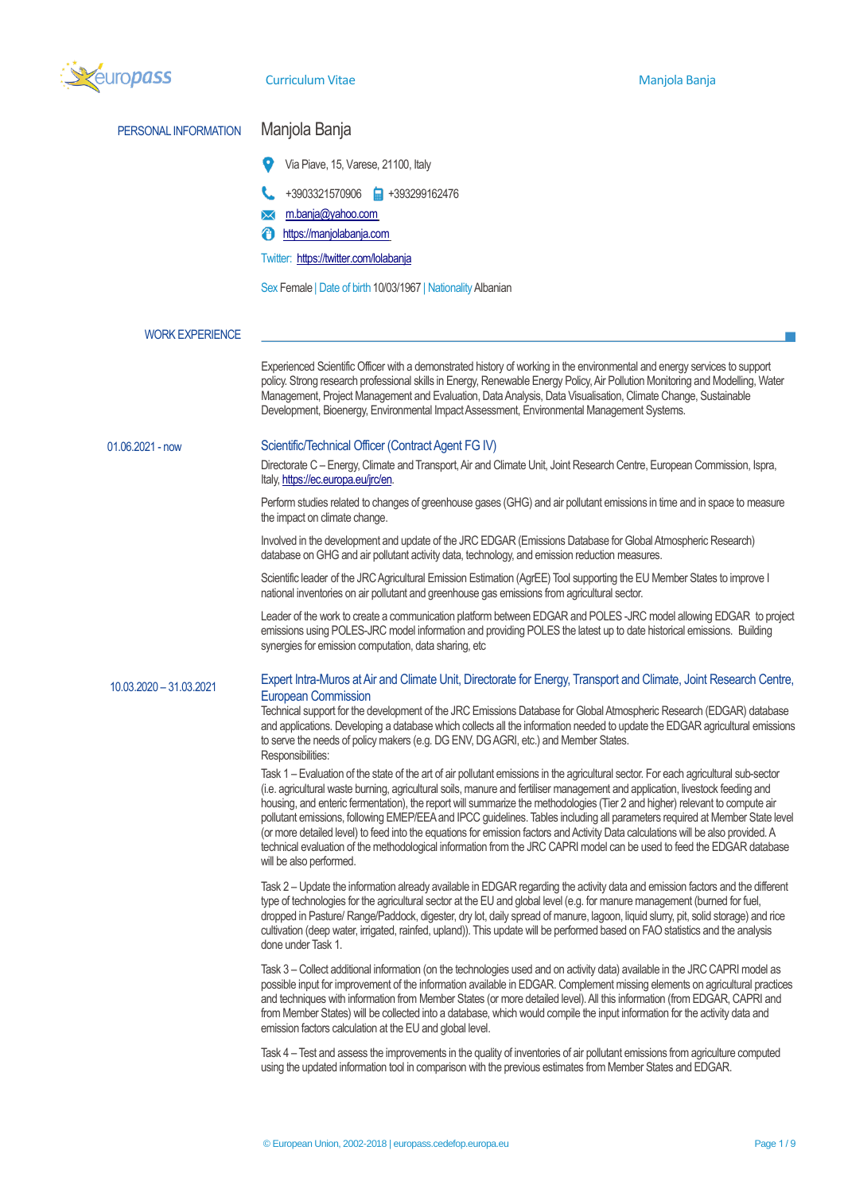| europass                | <b>Curriculum Vitae</b>                                                                                                                                                                                                 | Manjola Banja                                                                                                                                                                                                                                                                                                                                                                                                                                                                                                                                                                                                                                                                                                                                                                                    |  |  |  |
|-------------------------|-------------------------------------------------------------------------------------------------------------------------------------------------------------------------------------------------------------------------|--------------------------------------------------------------------------------------------------------------------------------------------------------------------------------------------------------------------------------------------------------------------------------------------------------------------------------------------------------------------------------------------------------------------------------------------------------------------------------------------------------------------------------------------------------------------------------------------------------------------------------------------------------------------------------------------------------------------------------------------------------------------------------------------------|--|--|--|
| PERSONAL INFORMATION    | Manjola Banja                                                                                                                                                                                                           |                                                                                                                                                                                                                                                                                                                                                                                                                                                                                                                                                                                                                                                                                                                                                                                                  |  |  |  |
|                         | Via Piave, 15, Varese, 21100, Italy                                                                                                                                                                                     |                                                                                                                                                                                                                                                                                                                                                                                                                                                                                                                                                                                                                                                                                                                                                                                                  |  |  |  |
|                         | +3903321570906 +393299162476                                                                                                                                                                                            |                                                                                                                                                                                                                                                                                                                                                                                                                                                                                                                                                                                                                                                                                                                                                                                                  |  |  |  |
|                         | m.banja@yahoo.com                                                                                                                                                                                                       |                                                                                                                                                                                                                                                                                                                                                                                                                                                                                                                                                                                                                                                                                                                                                                                                  |  |  |  |
|                         | https://manjolabanja.com                                                                                                                                                                                                |                                                                                                                                                                                                                                                                                                                                                                                                                                                                                                                                                                                                                                                                                                                                                                                                  |  |  |  |
|                         | Twitter: https://twitter.com/lolabanja                                                                                                                                                                                  |                                                                                                                                                                                                                                                                                                                                                                                                                                                                                                                                                                                                                                                                                                                                                                                                  |  |  |  |
|                         | Sex Female   Date of birth 10/03/1967   Nationality Albanian                                                                                                                                                            |                                                                                                                                                                                                                                                                                                                                                                                                                                                                                                                                                                                                                                                                                                                                                                                                  |  |  |  |
| <b>WORK EXPERIENCE</b>  |                                                                                                                                                                                                                         |                                                                                                                                                                                                                                                                                                                                                                                                                                                                                                                                                                                                                                                                                                                                                                                                  |  |  |  |
|                         |                                                                                                                                                                                                                         | Experienced Scientific Officer with a demonstrated history of working in the environmental and energy services to support<br>policy. Strong research professional skills in Energy, Renewable Energy Policy, Air Pollution Monitoring and Modelling, Water<br>Management, Project Management and Evaluation, Data Analysis, Data Visualisation, Climate Change, Sustainable<br>Development, Bioenergy, Environmental Impact Assessment, Environmental Management Systems.                                                                                                                                                                                                                                                                                                                        |  |  |  |
| $01.06.2021 - now$      | Scientific/Technical Officer (Contract Agent FG IV)                                                                                                                                                                     |                                                                                                                                                                                                                                                                                                                                                                                                                                                                                                                                                                                                                                                                                                                                                                                                  |  |  |  |
|                         | Directorate C - Energy, Climate and Transport, Air and Climate Unit, Joint Research Centre, European Commission, Ispra,<br>Italy, https://ec.europa.eu/jrc/en.                                                          |                                                                                                                                                                                                                                                                                                                                                                                                                                                                                                                                                                                                                                                                                                                                                                                                  |  |  |  |
|                         | the impact on climate change.                                                                                                                                                                                           | Perform studies related to changes of greenhouse gases (GHG) and air pollutant emissions in time and in space to measure                                                                                                                                                                                                                                                                                                                                                                                                                                                                                                                                                                                                                                                                         |  |  |  |
|                         |                                                                                                                                                                                                                         | Involved in the development and update of the JRC EDGAR (Emissions Database for Global Atmospheric Research)<br>database on GHG and air pollutant activity data, technology, and emission reduction measures.                                                                                                                                                                                                                                                                                                                                                                                                                                                                                                                                                                                    |  |  |  |
|                         | Scientific leader of the JRC Agricultural Emission Estimation (AgrEE) Tool supporting the EU Member States to improve I<br>national inventories on air pollutant and greenhouse gas emissions from agricultural sector. |                                                                                                                                                                                                                                                                                                                                                                                                                                                                                                                                                                                                                                                                                                                                                                                                  |  |  |  |
|                         | synergies for emission computation, data sharing, etc                                                                                                                                                                   | Leader of the work to create a communication platform between EDGAR and POLES -JRC model allowing EDGAR to project<br>emissions using POLES-JRC model information and providing POLES the latest up to date historical emissions. Building                                                                                                                                                                                                                                                                                                                                                                                                                                                                                                                                                       |  |  |  |
| 10.03.2020 - 31.03.2021 | <b>European Commission</b>                                                                                                                                                                                              | Expert Intra-Muros at Air and Climate Unit, Directorate for Energy, Transport and Climate, Joint Research Centre,                                                                                                                                                                                                                                                                                                                                                                                                                                                                                                                                                                                                                                                                                |  |  |  |
|                         | to serve the needs of policy makers (e.g. DG ENV, DG AGRI, etc.) and Member States.<br>Responsibilities:                                                                                                                | Technical support for the development of the JRC Emissions Database for Global Atmospheric Research (EDGAR) database<br>and applications. Developing a database which collects all the information needed to update the EDGAR agricultural emissions                                                                                                                                                                                                                                                                                                                                                                                                                                                                                                                                             |  |  |  |
|                         | will be also performed.                                                                                                                                                                                                 | Task 1 - Evaluation of the state of the art of air pollutant emissions in the agricultural sector. For each agricultural sub-sector<br>(i.e. agricultural waste burning, agricultural soils, manure and fertiliser management and application, livestock feeding and<br>housing, and enteric fermentation), the report will summarize the methodologies (Tier 2 and higher) relevant to compute air<br>pollutant emissions, following EMEP/EEA and IPCC guidelines. Tables including all parameters required at Member State level<br>(or more detailed level) to feed into the equations for emission factors and Activity Data calculations will be also provided. A<br>technical evaluation of the methodological information from the JRC CAPRI model can be used to feed the EDGAR database |  |  |  |
|                         | done under Task 1.                                                                                                                                                                                                      | Task 2 - Update the information already available in EDGAR regarding the activity data and emission factors and the different<br>type of technologies for the agricultural sector at the EU and global level (e.g. for manure management (burned for fuel,<br>dropped in Pasture/ Range/Paddock, digester, dry lot, daily spread of manure, lagoon, liquid slurry, pit, solid storage) and rice<br>cultivation (deep water, irrigated, rainfed, upland)). This update will be performed based on FAO statistics and the analysis                                                                                                                                                                                                                                                                 |  |  |  |
|                         | emission factors calculation at the EU and global level.                                                                                                                                                                | Task 3 - Collect additional information (on the technologies used and on activity data) available in the JRC CAPRI model as<br>possible input for improvement of the information available in EDGAR. Complement missing elements on agricultural practices<br>and techniques with information from Member States (or more detailed level). All this information (from EDGAR, CAPRI and<br>from Member States) will be collected into a database, which would compile the input information for the activity data and                                                                                                                                                                                                                                                                             |  |  |  |
|                         |                                                                                                                                                                                                                         | Task 4 - Test and assess the improvements in the quality of inventories of air pollutant emissions from agriculture computed<br>using the updated information tool in comparison with the previous estimates from Member States and EDGAR.                                                                                                                                                                                                                                                                                                                                                                                                                                                                                                                                                       |  |  |  |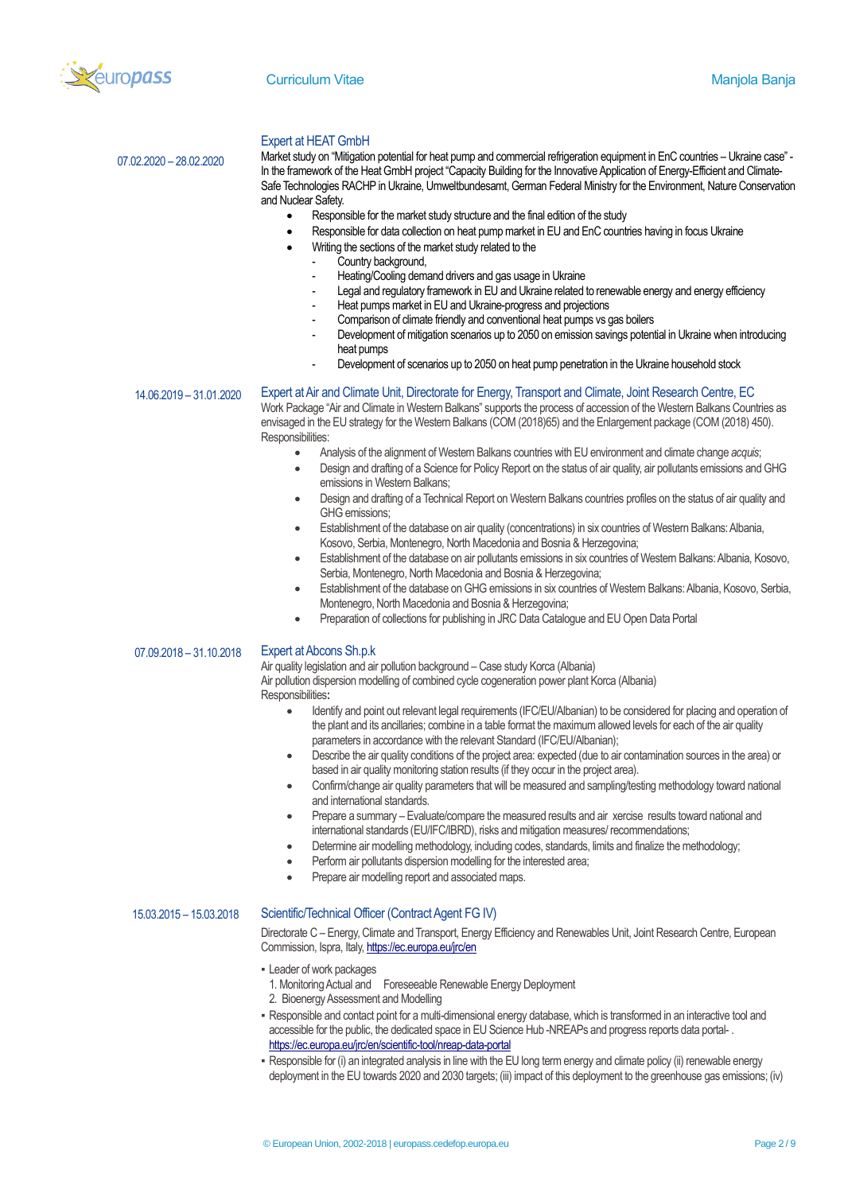

## Expert at HEAT GmbH

Market study on "Mitigation potential for heat pump and commercial refrigeration equipment in EnC countries – Ukraine case" - In the framework of the Heat GmbH project "Capacity Building for the Innovative Application of Energy-Efficient and Climate-Safe Technologies RACHP in Ukraine, Umweltbundesamt, German Federal Ministry for the Environment, Nature Conservation and Nuclear Safety.

- Responsible for the market study structure and the final edition of the study
- Responsible for data collection on heat pump market in EU and EnC countries having in focus Ukraine
- Writing the sections of the market study related to the
	- Country background.
	- Heating/Cooling demand drivers and gas usage in Ukraine
	- Legal and regulatory framework in EU and Ukraine related to renewable energy and energy efficiency
	- Heat pumps market in EU and Ukraine-progress and projections
	- Comparison of climate friendly and conventional heat pumps vs gas boilers
	- Development of mitigation scenarios up to 2050 on emission savings potential in Ukraine when introducing heat pumps
	- Development of scenarios up to 2050 on heat pump penetration in the Ukraine household stock

#### 14.06.2019 – 31.01.2020

07.02.2020 – 28.02.2020

### Expert at Air and Climate Unit, Directorate for Energy, Transport and Climate, Joint Research Centre, EC

Work Package "Air and Climate in Western Balkans" supports the process of accession of the Western Balkans Countries as envisaged in the EU strategy for the Western Balkans (COM (2018)65) and the Enlargement package (COM (2018) 450). Responsibilities:

- Analysis of the alignment of Western Balkans countries with EU environment and climate change *acquis*;
	- Design and drafting of a Science for Policy Report on the status of air quality, air pollutants emissions and GHG emissions in Western Balkans;
- Design and drafting of a Technical Report on Western Balkans countries profiles on the status of air quality and GHG emissions;
- Establishment of the database on air quality (concentrations) in six countries of Western Balkans: Albania, Kosovo, Serbia, Montenegro, North Macedonia and Bosnia & Herzegovina;
- Establishment of the database on air pollutants emissions in six countries of Western Balkans: Albania, Kosovo, Serbia, Montenegro, North Macedonia and Bosnia & Herzegovina;
- Establishment of the database on GHG emissions in six countries of Western Balkans: Albania, Kosovo, Serbia, Montenegro, North Macedonia and Bosnia & Herzegovina;
- Preparation of collections for publishing in JRC Data Catalogue and EU Open Data Portal
- 07.09.2018 31.10.2018

# Expert at Abcons Sh.p.k

Air quality legislation and air pollution background – Case study Korca (Albania) Air pollution dispersion modelling of combined cycle cogeneration power plant Korca (Albania) Responsibilities**:**

- Identify and point out relevant legal requirements (IFC/EU/Albanian) to be considered for placing and operation of the plant and its ancillaries; combine in a table format the maximum allowed levels for each of the air quality parameters in accordance with the relevant Standard (IFC/EU/Albanian);
- Describe the air quality conditions of the project area: expected (due to air contamination sources in the area) or based in air quality monitoring station results (if they occur in the project area).
- Confirm/change air quality parameters that will be measured and sampling/testing methodology toward national and international standards.
- Prepare a summary Evaluate/compare the measured results and air xercise results toward national and international standards (EU/IFC/IBRD), risks and mitigation measures/ recommendations;
- Determine air modelling methodology, including codes, standards, limits and finalize the methodology;
- Perform air pollutants dispersion modelling for the interested area;
- Prepare air modelling report and associated maps.

## 15.03.2015 – 15.03.2018 Scientific/Technical Officer (Contract Agent FG IV)

Directorate C – Energy, Climate and Transport, Energy Efficiency and Renewables Unit, Joint Research Centre, European Commission, Ispra, Ital[y, https://ec.europa.eu/jrc/en](https://ec.europa.eu/jrc/en)

- **E** Leader of work packages
	- 1. Monitoring Actual and Foreseeable Renewable Energy Deployment
	- 2. Bioenergy Assessment and Modelling
- . Responsible and contact point for a multi-dimensional energy database, which is transformed in an interactive tool and accessible for the public, the dedicated space in EU Science Hub -NREAPs and progress reports data portal-. <https://ec.europa.eu/jrc/en/scientific-tool/nreap-data-portal>
- . Responsible for (i) an integrated analysis in line with the EU long term energy and climate policy (ii) renewable energy deployment in the EU towards 2020 and 2030 targets; (iii) impact of this deployment to the greenhouse gas emissions; (iv)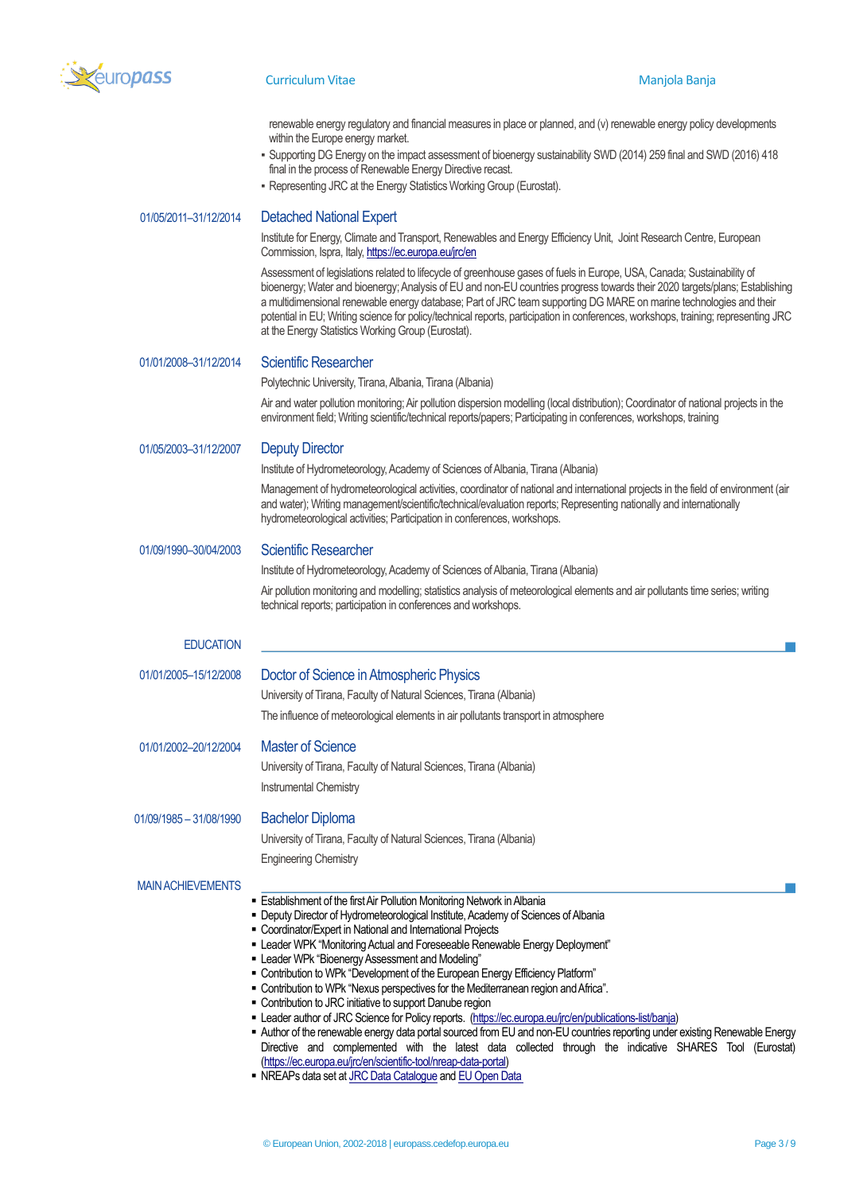

renewable energy regulatory and financial measures in place or planned, and (v) renewable energy policy developments within the Europe energy market.

- Supporting DG Energy on the impact assessment of bioenergy sustainability SWD (2014) 259 final and SWD (2016) 418 final in the process of Renewable Energy Directive recast.
- Representing JRC at the Energy Statistics Working Group (Eurostat).

## 01/05/2011–31/12/2014 Detached National Expert

Institute for Energy, Climate and Transport, Renewables and Energy Efficiency Unit, Joint Research Centre, European Commission, Ispra, Ital[y, https://ec.europa.eu/jrc/en](https://ec.europa.eu/jrc/en)

Assessment of legislations related to lifecycle of greenhouse gases of fuels in Europe, USA, Canada; Sustainability of bioenergy; Water and bioenergy; Analysis of EU and non-EU countries progress towards their 2020 targets/plans; Establishing a multidimensional renewable energy database; Part of JRC team supporting DG MARE on marine technologies and their potential in EU; Writing science for policy/technical reports, participation in conferences, workshops, training; representing JRC at the Energy Statistics Working Group (Eurostat).

## 01/01/2008–31/12/2014 Scientific Researcher

Polytechnic University, Tirana, Albania, Tirana (Albania)

Air and water pollution monitoring; Air pollution dispersion modelling (local distribution); Coordinator of national projects in the environment field; Writing scientific/technical reports/papers; Participating in conferences, workshops, training

#### 01/05/2003-31/12/2007 Deputy Director

Institute of Hydrometeorology, Academy of Sciences of Albania, Tirana (Albania)

Management of hydrometeorological activities, coordinator of national and international projects in the field of environment (air and water); Writing management/scientific/technical/evaluation reports; Representing nationally and internationally hydrometeorological activities; Participation in conferences, workshops.

# 01/09/1990–30/04/2003 Scientific Researcher

Institute of Hydrometeorology, Academy of Sciences of Albania, Tirana (Albania)

Air pollution monitoring and modelling; statistics analysis of meteorological elements and air pollutants time series; writing technical reports; participation in conferences and workshops.

| <b>EDUCATION</b>         |                                                                                                                                                                                                                                                                                                                                                                                                                                                                                                                                                                                                                                                                                                                                                                                                                                                                                                                                                            |
|--------------------------|------------------------------------------------------------------------------------------------------------------------------------------------------------------------------------------------------------------------------------------------------------------------------------------------------------------------------------------------------------------------------------------------------------------------------------------------------------------------------------------------------------------------------------------------------------------------------------------------------------------------------------------------------------------------------------------------------------------------------------------------------------------------------------------------------------------------------------------------------------------------------------------------------------------------------------------------------------|
| 01/01/2005-15/12/2008    | Doctor of Science in Atmospheric Physics<br>University of Tirana, Faculty of Natural Sciences, Tirana (Albania)<br>The influence of meteorological elements in air pollutants transport in atmosphere                                                                                                                                                                                                                                                                                                                                                                                                                                                                                                                                                                                                                                                                                                                                                      |
| 01/01/2002-20/12/2004    | <b>Master of Science</b><br>University of Tirana, Faculty of Natural Sciences, Tirana (Albania)<br>Instrumental Chemistry                                                                                                                                                                                                                                                                                                                                                                                                                                                                                                                                                                                                                                                                                                                                                                                                                                  |
| 01/09/1985 - 31/08/1990  | <b>Bachelor Diploma</b><br>University of Tirana, Faculty of Natural Sciences, Tirana (Albania)<br><b>Engineering Chemistry</b>                                                                                                                                                                                                                                                                                                                                                                                                                                                                                                                                                                                                                                                                                                                                                                                                                             |
| <b>MAIN ACHIEVEMENTS</b> | <b>Exablishment of the first Air Pollution Monitoring Network in Albania</b><br>• Deputy Director of Hydrometeorological Institute, Academy of Sciences of Albania<br>• Coordinator/Expert in National and International Projects<br>" Leader WPK "Monitoring Actual and Foreseeable Renewable Energy Deployment"<br>• Leader WPk "Bioenergy Assessment and Modeling"<br>" Contribution to WPk "Development of the European Energy Efficiency Platform"<br>■ Contribution to WPk "Nexus perspectives for the Mediterranean region and Africa".<br>• Contribution to JRC initiative to support Danube region<br>Leader author of JRC Science for Policy reports. (https://ec.europa.eu/jrc/en/publications-list/banja)<br>$\mathbf{r}$ . The contract of the contract of the contract of the contract of the contract of the contract of the contract of the contract of the contract of the contract of the contract of the contract of the contract of th |

- Author of the renewable energy data portal sourced from EU and non-EU countries reporting under existing Renewable Energy Directive and complemented with the latest data collected through the indicative SHARES Tool (Eurostat) [\(https://ec.europa.eu/jrc/en/scientific-tool/nreap-data-portal\)](https://ec.europa.eu/jrc/en/scientific-tool/nreap-data-portal)
- **NREAPs data set a[t JRC Data Catalogue](https://data.jrc.ec.europa.eu/dataset?sort=sort_criteria+desc&q=nreaps) and EU Open Data**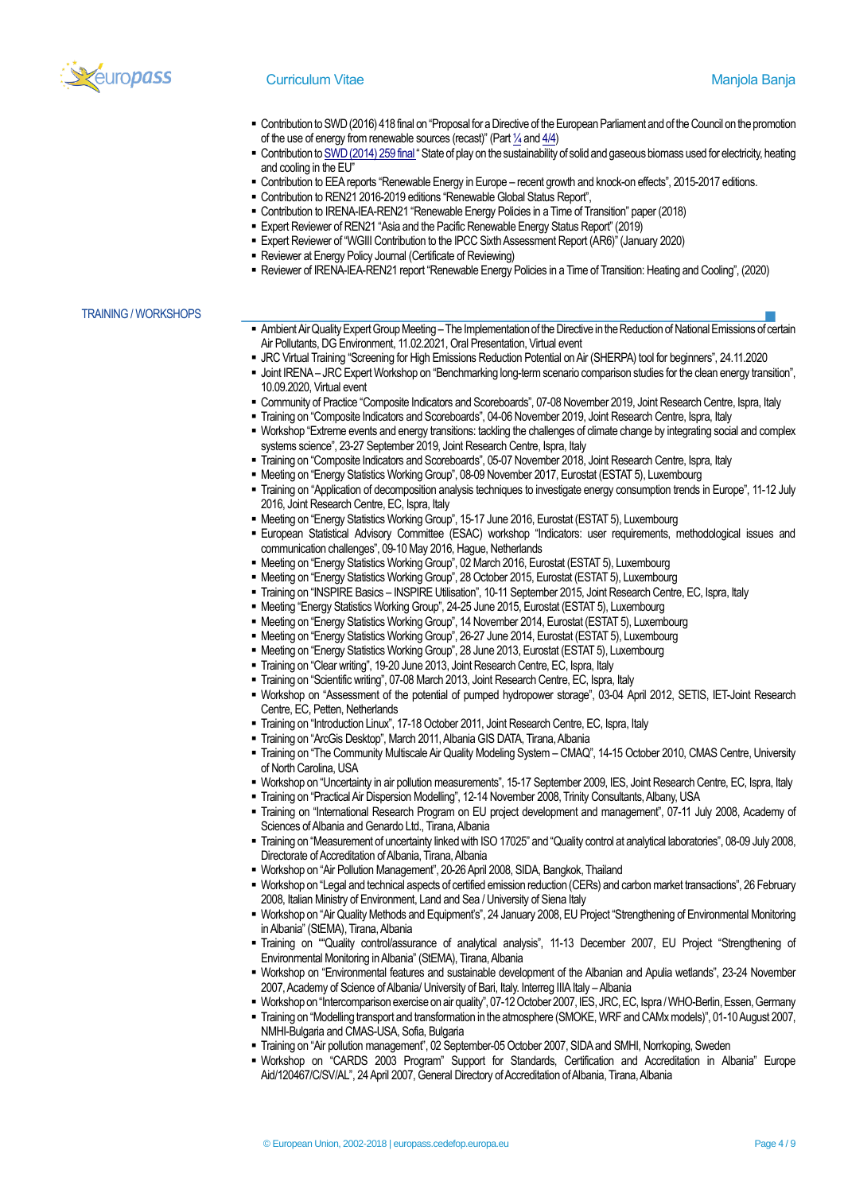

## **Curriculum Vitae Manjola Banja Banja Banja Banja Banja Banja Banja Banja Banja Banja Banja Banja Banja Banja B**

- Contribution to SWD (2016) 418 final on "Proposal for a Directive of the European Parliament and of the Council on the promotion of the use of energy from renewable sources (recast)" (Par[t ¼a](https://ec.europa.eu/energy/sites/ener/files/documents/1_en_impact_assessment_part1_v4_418.pdf)n[d 4/4\)](https://ec.europa.eu/transparency/regdoc/rep/10102/2016/EN/SWD-2016-418-F1-EN-MAIN-PART-4.PDF)
- Contribution t[o SWD \(2014\) 259 final](https://ec.europa.eu/energy/sites/ener/files/2014_biomass_state_of_play_.pdf) "State of play on the sustainability of solid and gaseous biomass used for electricity, heating and cooling in the EU"
- Contribution to EEA reports "Renewable Energy in Europe recent growth and knock-on effects", 2015-2017 editions.
- Contribution to REN21 2016-2019 editions "Renewable Global Status Report",
- Contribution to IRENA-IEA-REN21 "Renewable Energy Policies in a Time of Transition" paper (2018)
- **Expert Reviewer of REN21 "Asia and the Pacific Renewable Energy Status Report" (2019)**
- Expert Reviewer of "WGIII Contribution to the IPCC Sixth Assessment Report (AR6)" (January 2020)
	- **E** Reviewer at Energy Policy Journal (Certificate of Reviewing)
	- Reviewer of IRENA-IEA-REN21 report "Renewable Energy Policies in a Time of Transition: Heating and Cooling", (2020)

#### TRAINING / WORKSHOPS

- **.** Ambient Air Quality Expert Group Meeting The Implementation of the Directive in the Reduction of National Emissions of certain Air Pollutants, DG Environment, 11.02.2021, Oral Presentation, Virtual event
- JRC Virtual Training "Screening for High Emissions Reduction Potential on Air (SHERPA) tool for beginners", 24.11.2020
- Joint IRENA JRC Expert Workshop on "Benchmarking long-term scenario comparison studies for the clean energy transition", 10.09.2020, Virtual event
- Community of Practice "Composite Indicators and Scoreboards", 07-08 November 2019, Joint Research Centre, Ispra, Italy
- Training on "Composite Indicators and Scoreboards", 04-06 November 2019, Joint Research Centre, Ispra, Italy
- Workshop "Extreme events and energy transitions: tackling the challenges of climate change by integrating social and complex systems science", 23-27 September 2019, Joint Research Centre, Ispra, Italy
- Training on "Composite Indicators and Scoreboards", 05-07 November 2018, Joint Research Centre, Ispra, Italy
- . Meeting on "Energy Statistics Working Group", 08-09 November 2017, Eurostat (ESTAT 5), Luxembourg
- Training on "Application of decomposition analysis techniques to investigate energy consumption trends in Europe", 11-12 July 2016, Joint Research Centre, EC, Ispra, Italy
- Meeting on "Energy Statistics Working Group", 15-17 June 2016, Eurostat (ESTAT 5), Luxembourg
- European Statistical Advisory Committee (ESAC) workshop "Indicators: user requirements, methodological issues and communication challenges", 09-10 May 2016, Hague, Netherlands
- Meeting on "Energy Statistics Working Group", 02 March 2016, Eurostat (ESTAT 5), Luxembourg
- · Meeting on "Energy Statistics Working Group", 28 October 2015, Eurostat (ESTAT 5), Luxembourg
- Training on "INSPIRE Basics INSPIRE Utilisation", 10-11 September 2015, Joint Research Centre, EC, Ispra, Italy
- Meeting "Energy Statistics Working Group", 24-25 June 2015, Eurostat (ESTAT 5), Luxembourg
- Meeting on "Energy Statistics Working Group", 14 November 2014, Eurostat (ESTAT 5), Luxembourg
- Meeting on "Energy Statistics Working Group", 26-27 June 2014, Eurostat (ESTAT 5), Luxembourg
- Meeting on "Energy Statistics Working Group", 28 June 2013, Eurostat (ESTAT 5), Luxembourg
- Training on "Clear writing", 19-20 June 2013, Joint Research Centre, EC, Ispra, Italy
- Training on "Scientific writing", 07-08 March 2013, Joint Research Centre, EC, Ispra, Italy
- Workshop on "Assessment of the potential of pumped hydropower storage", 03-04 April 2012, SETIS, IET-Joint Research Centre, EC, Petten, Netherlands
- Training on "Introduction Linux", 17-18 October 2011, Joint Research Centre, EC, Ispra, Italy
- Training on "ArcGis Desktop", March 2011, Albania GIS DATA, Tirana, Albania
- Training on "The Community Multiscale Air Quality Modeling System CMAQ", 14-15 October 2010, CMAS Centre, University of North Carolina, USA
- Workshop on "Uncertainty in air pollution measurements", 15-17 September 2009, IES, Joint Research Centre, EC, Ispra, Italy
- Training on "Practical Air Dispersion Modelling", 12-14 November 2008, Trinity Consultants, Albany, USA
- Training on "International Research Program on EU project development and management", 07-11 July 2008, Academy of Sciences of Albania and Genardo Ltd., Tirana, Albania
- Training on "Measurement of uncertainty linked with ISO 17025" and "Quality control at analytical laboratories", 08-09 July 2008, Directorate of Accreditation of Albania, Tirana, Albania
- Workshop on "Air Pollution Management", 20-26 April 2008, SIDA, Bangkok, Thailand
- Workshop on "Legal and technical aspects of certified emission reduction (CERs) and carbon market transactions", 26 February 2008, Italian Ministry of Environment, Land and Sea / University of Siena Italy
- Workshop on "Air Quality Methods and Equipment's", 24 January 2008, EU Project "Strengthening of Environmental Monitoring in Albania" (StEMA), Tirana, Albania
- Training on ""Quality control/assurance of analytical analysis", 11-13 December 2007, EU Project "Strengthening of Environmental Monitoring in Albania" (StEMA), Tirana, Albania
- Workshop on "Environmental features and sustainable development of the Albanian and Apulia wetlands", 23-24 November 2007, Academy of Science of Albania/ University of Bari, Italy. Interreg IIIA Italy –Albania
- Workshop on "Intercomparison exercise on air quality", 07-12 October 2007, IES, JRC, EC, Ispra / WHO-Berlin, Essen, Germany
- . Training on "Modelling transport and transformation in the atmosphere (SMOKE, WRF and CAMx models)", 01-10 August 2007, NMHI-Bulgaria and CMAS-USA, Sofia, Bulgaria
- Training on "Air pollution management", 02 September-05 October 2007, SIDA and SMHI, Norrkoping, Sweden
- Workshop on "CARDS 2003 Program" Support for Standards, Certification and Accreditation in Albania" Europe Aid/120467/C/SV/AL", 24 April 2007, General Directory of Accreditation of Albania, Tirana, Albania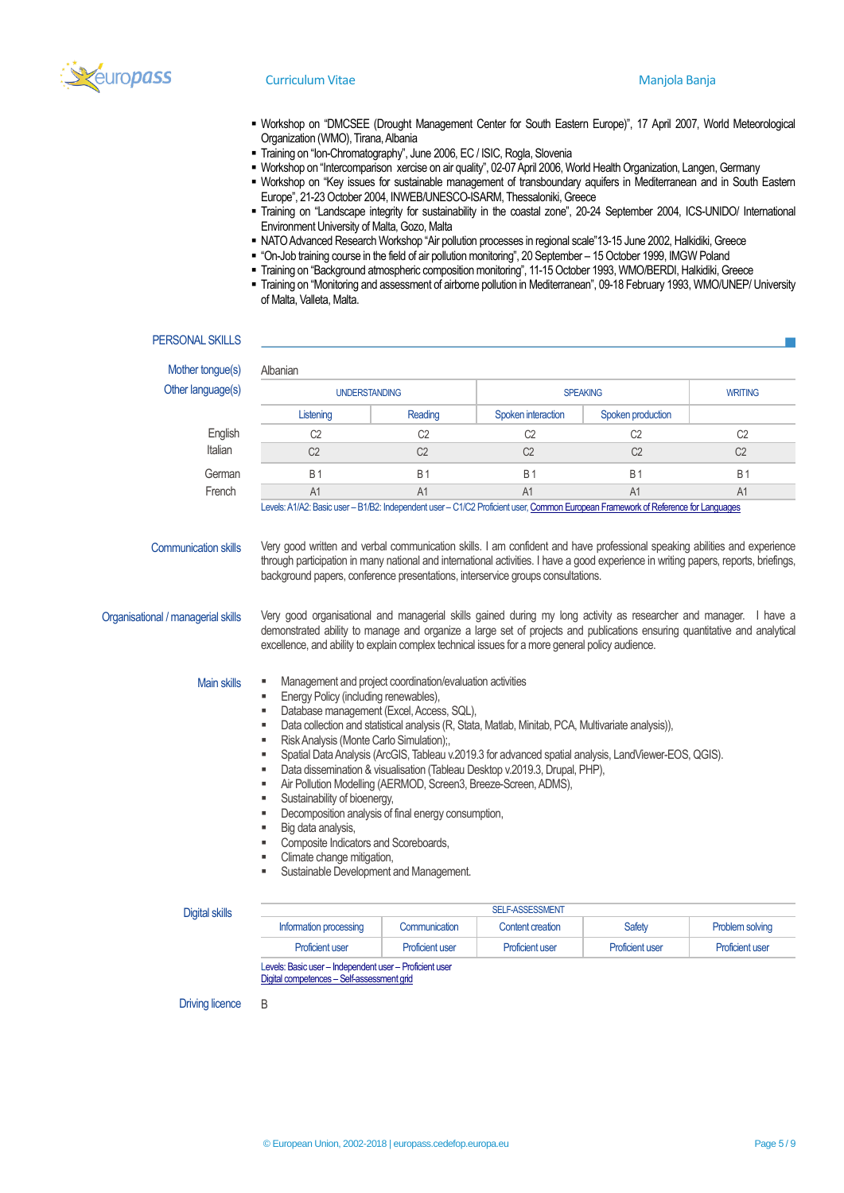

- Workshop on "DMCSEE (Drought Management Center for South Eastern Europe)", 17 April 2007, World Meteorological Organization (WMO), Tirana, Albania
- Training on "Ion-Chromatography", June 2006, EC / ISIC, Rogla, Slovenia
- Workshop on "Intercomparison xercise on air quality", 02-07 April 2006, World Health Organization, Langen, Germany
	- Workshop on "Key issues for sustainable management of transboundary aquifers in Mediterranean and in South Eastern Europe", 21-23 October 2004, INWEB/UNESCO-ISARM, Thessaloniki, Greece
	- Training on "Landscape integrity for sustainability in the coastal zone", 20-24 September 2004, ICS-UNIDO/ International Environment University of Malta, Gozo, Malta
	- NATO Advanced Research Workshop "Air pollution processes in regional scale"13-15 June 2002, Halkidiki, Greece
	- "On-Job training course in the field of air pollution monitoring", 20 September 15 October 1999, IMGW Poland
	- Training on "Background atmospheric composition monitoring", 11-15 October 1993, WMO/BERDI, Halkidiki, Greece
	- Training on "Monitoring and assessment of airborne pollution in Mediterranean", 09-18 February 1993, WMO/UNEP/ University of Malta, Valleta, Malta.

### PERSONAL SKILLS

| Other language(s)                  | <b>UNDERSTANDING</b>                                                                                                                                                                                                                                                                                                                                 |                | <b>SPEAKING</b>    |                   | <b>WRITING</b> |
|------------------------------------|------------------------------------------------------------------------------------------------------------------------------------------------------------------------------------------------------------------------------------------------------------------------------------------------------------------------------------------------------|----------------|--------------------|-------------------|----------------|
|                                    | Listening                                                                                                                                                                                                                                                                                                                                            | Reading        | Spoken interaction | Spoken production |                |
| English                            | C <sub>2</sub>                                                                                                                                                                                                                                                                                                                                       | C <sub>2</sub> | C <sub>2</sub>     | C <sub>2</sub>    | C <sub>2</sub> |
| Italian                            | C <sub>2</sub>                                                                                                                                                                                                                                                                                                                                       | C <sub>2</sub> | C <sub>2</sub>     | C <sub>2</sub>    | C <sub>2</sub> |
| German                             | <b>B1</b>                                                                                                                                                                                                                                                                                                                                            | <b>B1</b>      | <b>B1</b>          | <b>B1</b>         | <b>B1</b>      |
| French                             | A1                                                                                                                                                                                                                                                                                                                                                   | A1             | A1                 | A1                | A1             |
| <b>Communication skills</b>        | Very good written and verbal communication skills. I am confident and have professional speaking abilities and experience<br>through participation in many national and international activities. I have a good experience in writing papers, reports, briefings,<br>background papers, conference presentations, interservice groups consultations. |                |                    |                   |                |
| Organisational / managerial skills | Very good organisational and managerial skills gained during my long activity as researcher and manager. I have a<br>demonstrated ability to manage and organize a large set of projects and publications ensuring quantitative and analytical<br>excellence, and ability to explain complex technical issues for a more general policy audience.    |                |                    |                   |                |
| <b>Main skills</b>                 | Management and project coordination/evaluation activities<br>٠<br>Energy Policy (including renewables),<br>٠<br>Database management (Excel, Access, SQL),<br>٠<br>Data collection and statistical analysis (R, Stata, Matlab, Minitab, PCA, Multivariate analysis)),<br>٠                                                                            |                |                    |                   |                |

| Digital skills | <b>SELF-ASSESSMENT</b>                                  |                        |                        |                        |                        |
|----------------|---------------------------------------------------------|------------------------|------------------------|------------------------|------------------------|
|                | Information processing                                  | <b>Communication</b>   | Content creation       | <b>Safety</b>          | Problem solving        |
|                | <b>Proficient user</b>                                  | <b>Proficient user</b> | <b>Proficient user</b> | <b>Proficient user</b> | <b>Proficient user</b> |
|                | Levels: Basic user - Independent user - Proficient user |                        |                        |                        |                        |

Digital competences – [Self-assessment grid](http://europass.cedefop.europa.eu/en/resources/digital-competences)

Driving licence B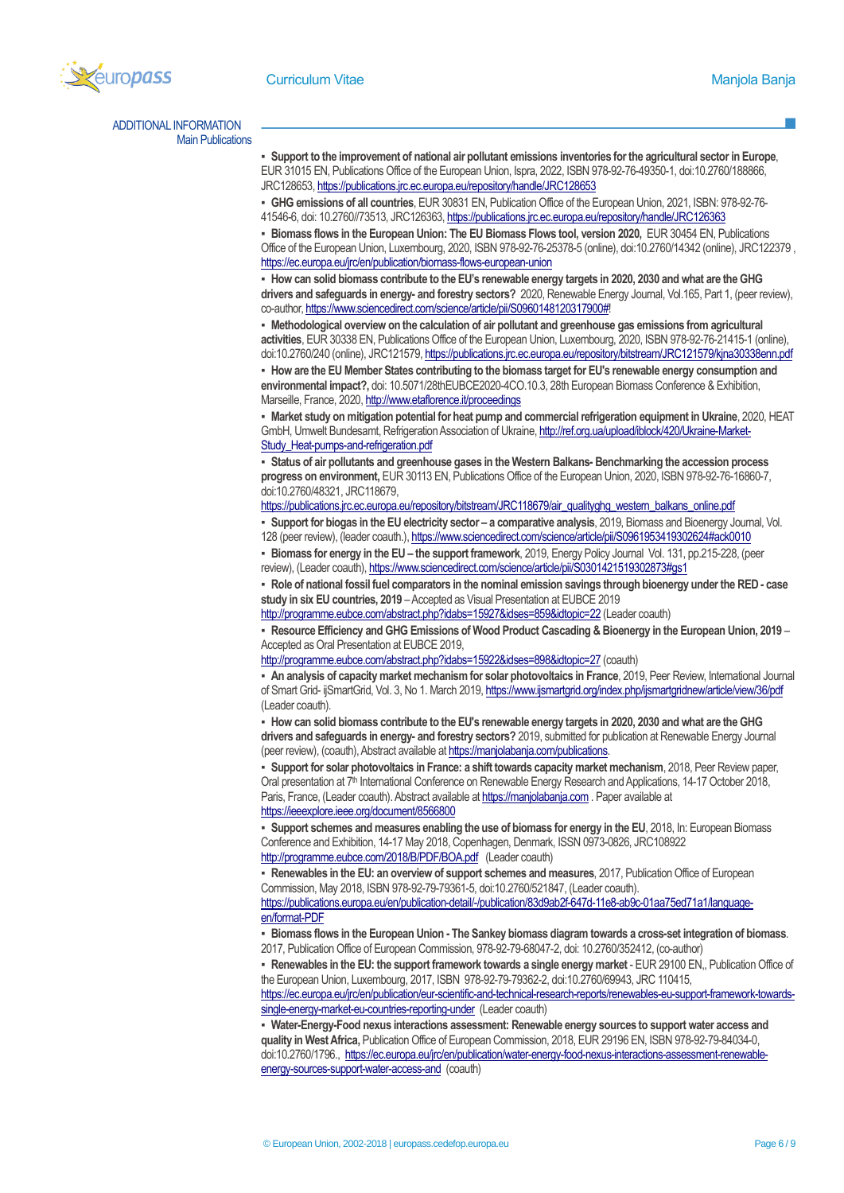

ADDITIONAL INFORMATION Main Publications

> ▪ **Support to the improvement of national air pollutant emissions inventories for the agricultural sector in Europe**, EUR 31015 EN, Publications Office of the European Union, Ispra, 2022, ISBN 978-92-76-49350-1, doi:10.2760/188866, JRC128653[, https://publications.jrc.ec.europa.eu/repository/handle/JRC128653](https://publications.jrc.ec.europa.eu/repository/handle/JRC128653)

▪ **GHG emissions of all countries**, EUR 30831 EN, Publication Office of the European Union, 2021, ISBN: 978-92-76- 41546-6, doi: 10.2760//73513, JRC126363[, https://publications.jrc.ec.europa.eu/repository/handle/JRC126363](https://publications.jrc.ec.europa.eu/repository/handle/JRC126363)

▪ **Biomass flows in the European Union: The EU Biomass Flows tool, version 2020,** EUR 30454 EN, Publications Office of the European Union, Luxembourg, 2020, ISBN 978-92-76-25378-5 (online), doi:10.2760/14342 (online), JRC122379 , <https://ec.europa.eu/jrc/en/publication/biomass-flows-european-union>

▪ **How can solid biomass contribute to the EU's renewable energy targets in 2020, 2030 and what are the GHG drivers and safeguards in energy- and forestry sectors?** 2020, Renewable Energy Journal, Vol.165, Part 1, (peer review), co-author[, https://www.sciencedirect.com/science/article/pii/S0960148120317900#!](https://www.sciencedirect.com/science/article/pii/S0960148120317900)

▪ **Methodological overview on the calculation of air pollutant and greenhouse gas emissions from agricultural activities**, EUR 30338 EN, Publications Office of the European Union, Luxembourg, 2020, ISBN 978-92-76-21415-1 (online), doi:10.2760/240 (online), JRC121579[, https://publications.jrc.ec.europa.eu/repository/bitstream/JRC121579/kjna30338enn.pdf](https://publications.jrc.ec.europa.eu/repository/bitstream/JRC121579/kjna30338enn.pdf) ▪ **How are the EU Member States contributing to the biomass target for EU's renewable energy consumption and environmental impact?,** doi: 10.5071/28thEUBCE2020-4CO.10.3, 28th European Biomass Conference & Exhibition,

Marseille, France, 2020[, http://www.etaflorence.it/proceedings](http://www.etaflorence.it/proceedings) ▪ **Market study on mitigation potential for heat pump and commercial refrigeration equipment in Ukraine**, 2020, HEAT

GmbH, Umwelt Bundesamt, Refrigeration Association of Ukraine[, http://ref.org.ua/upload/iblock/420/Ukraine-Market-](http://ref.org.ua/upload/iblock/420/Ukraine-Market-Study_Heat-pumps-and-refrigeration.pdf)[Study\\_Heat-pumps-and-refrigeration.pdf](http://ref.org.ua/upload/iblock/420/Ukraine-Market-Study_Heat-pumps-and-refrigeration.pdf)

▪ **Status of air pollutants and greenhouse gases in the Western Balkans- Benchmarking the accession process progress on environment,** EUR 30113 EN, Publications Office of the European Union, 2020, ISBN 978-92-76-16860-7, doi:10.2760/48321, JRC118679,

[https://publications.jrc.ec.europa.eu/repository/bitstream/JRC118679/air\\_qualityghg\\_western\\_balkans\\_online.pdf](https://publications.jrc.ec.europa.eu/repository/bitstream/JRC118679/air_qualityghg_western_balkans_online.pdf)

▪ **Support for biogas in the EU electricity sector – a comparative analysis**, 2019, Biomass and Bioenergy Journal, Vol. 128 (peer review), (leader coauth.)[, https://www.sciencedirect.com/science/article/pii/S0961953419302624#ack0010](https://www.sciencedirect.com/science/article/pii/S0961953419302624#ack0010)

▪ **Biomass for energy in the EU – the support framework**, 2019, Energy Policy Journal Vol. 131, pp.215-228, (peer review), (Leader coauth), https://www.sciencedirect.com/science/article/pii/S0301421519302873#qs1

▪ **Role of national fossil fuel comparators in the nominal emission savings through bioenergy under the RED- case study in six EU countries, 2019** –Accepted as Visual Presentation at EUBCE 2019

<http://programme.eubce.com/abstract.php?idabs=15927&idses=859&idtopic=22> (Leader coauth)

▪ **Resource Efficiency and GHG Emissions of Wood Product Cascading & Bioenergy in the European Union, 2019** – Accepted as Oral Presentation at EUBCE 2019,

<http://programme.eubce.com/abstract.php?idabs=15922&idses=898&idtopic=27> (coauth)

▪ **An analysis of capacity market mechanism for solar photovoltaics in France**, 2019, Peer Review, International Journal of Smart Grid- ijSmartGrid, Vol. 3, No 1. March 2019[, https://www.ijsmartgrid.org/index.php/ijsmartgridnew/article/view/36/pdf](https://www.ijsmartgrid.org/index.php/ijsmartgridnew/article/view/36/pdf)  (Leader coauth).

▪ **How can solid biomass contribute to the EU's renewable energy targets in 2020, 2030 and what are the GHG drivers and safeguards in energy- and forestry sectors?** 2019, submitted for publication at Renewable Energy Journal (peer review), (coauth), Abstract available at https://manjolabanja.com/publications.

▪ **Support for solar photovoltaics in France: a shift towards capacity market mechanism**, 2018, Peer Review paper, Oral presentation at 7<sup>th</sup> International Conference on Renewable Energy Research and Applications, 14-17 October 2018, Paris, France, (Leader coauth). Abstract available a[t https://manjolabanja.com.](https://manjolabanja.com/) Paper available at <https://ieeexplore.ieee.org/document/8566800>

▪ **Support schemes and measures enabling the use of biomass for energy in the EU**, 2018, In: European Biomass Conference and Exhibition, 14-17 May 2018, Copenhagen, Denmark, ISSN 0973-0826, JRC108922 <http://programme.eubce.com/2018/B/PDF/BOA.pdf>(Leader coauth)

▪ **Renewables in the EU: an overview of support schemes and measures**, 2017, Publication Office of European Commission, May 2018, ISBN 978-92-79-79361-5, doi:10.2760/521847, (Leader coauth).

[https://publications.europa.eu/en/publication-detail/-/publication/83d9ab2f-647d-11e8-ab9c-01aa75ed71a1/language](https://publications.europa.eu/en/publication-detail/-/publication/83d9ab2f-647d-11e8-ab9c-01aa75ed71a1/language-en/format-PDF)[en/format-PDF](https://publications.europa.eu/en/publication-detail/-/publication/83d9ab2f-647d-11e8-ab9c-01aa75ed71a1/language-en/format-PDF)

▪ **Biomass flows in the European Union - The Sankey biomass diagram towards a cross-set integration of biomass**. 2017, Publication Office of European Commission, 978-92-79-68047-2, doi: 10.2760/352412, (co-author)

▪ **Renewables in the EU: the support framework towards a single energy market** - EUR 29100 EN,, Publication Office of the European Union, Luxembourg, 2017, ISBN 978-92-79-79362-2, doi:10.2760/69943, JRC 110415,

[https://ec.europa.eu/jrc/en/publication/eur-scientific-and-technical-research-reports/renewables-eu-support-framework-towards](https://ec.europa.eu/jrc/en/publication/eur-scientific-and-technical-research-reports/renewables-eu-support-framework-towards-single-energy-market-eu-countries-reporting-under)[single-energy-market-eu-countries-reporting-under](https://ec.europa.eu/jrc/en/publication/eur-scientific-and-technical-research-reports/renewables-eu-support-framework-towards-single-energy-market-eu-countries-reporting-under) (Leader coauth)

▪ **Water-Energy-Food nexus interactions assessment: Renewable energy sources to support water access and quality in West Africa,** Publication Office of European Commission, 2018, EUR 29196 EN, ISBN 978-92-79-84034-0, doi:10.2760/1796., [https://ec.europa.eu/jrc/en/publication/water-energy-food-nexus-interactions-assessment-renewable](https://ec.europa.eu/jrc/en/publication/water-energy-food-nexus-interactions-assessment-renewable-energy-sources-support-water-access-and)[energy-sources-support-water-access-and](https://ec.europa.eu/jrc/en/publication/water-energy-food-nexus-interactions-assessment-renewable-energy-sources-support-water-access-and) (coauth)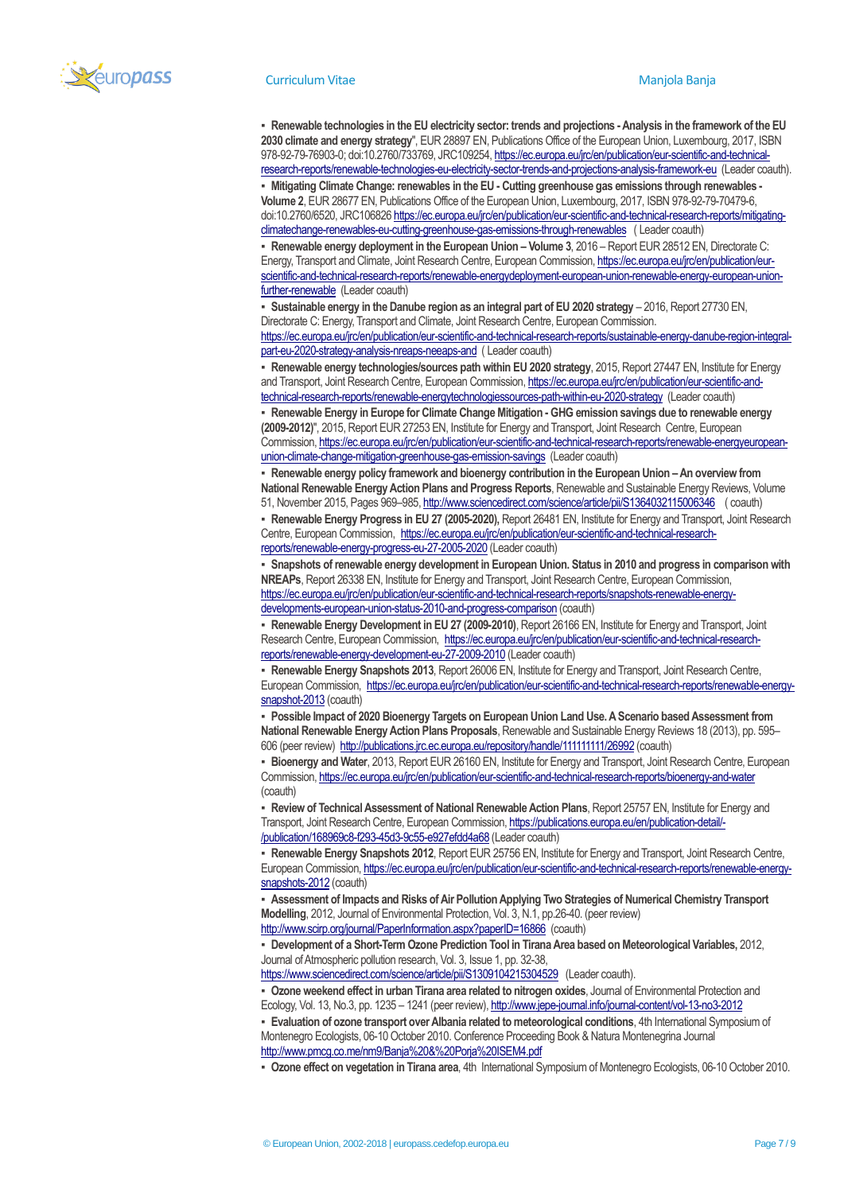

▪ **Renewable technologies in the EU electricity sector: trends and projections -Analysis in the framework of the EU 2030 climate and energy strategy**", EUR 28897 EN, Publications Office of the European Union, Luxembourg, 2017, ISBN 978-92-79-76903-0; doi:10.2760/733769, JRC109254[, https://ec.europa.eu/jrc/en/publication/eur-scientific-and-technical](https://ec.europa.eu/jrc/en/publication/eur-scientific-and-technical-research-reports/renewable-technologies-eu-electricity-sector-trends-and-projections-analysis-framework-eu)[research-reports/renewable-technologies-eu-electricity-sector-trends-and-projections-analysis-framework-eu](https://ec.europa.eu/jrc/en/publication/eur-scientific-and-technical-research-reports/renewable-technologies-eu-electricity-sector-trends-and-projections-analysis-framework-eu) (Leader coauth).

▪ **Mitigating Climate Change: renewables in the EU - Cutting greenhouse gas emissions through renewables - Volume 2**, EUR 28677 EN, Publications Office of the European Union, Luxembourg, 2017, ISBN 978-92-79-70479-6, doi:10.2760/6520, JRC10682[6 https://ec.europa.eu/jrc/en/publication/eur-scientific-and-technical-research-reports/mitigating](https://ec.europa.eu/jrc/en/publication/eur-scientific-and-technical-research-reports/mitigating-climatechange-renewables-eu-cutting-greenhouse-gas-emissions-through-renewables)[climatechange-renewables-eu-cutting-greenhouse-gas-emissions-through-renewables](https://ec.europa.eu/jrc/en/publication/eur-scientific-and-technical-research-reports/mitigating-climatechange-renewables-eu-cutting-greenhouse-gas-emissions-through-renewables) ( Leader coauth)

**Renewable energy deployment in the European Union – Volume 3, 2016 – Report EUR 28512 EN, Directorate C:** Energy, Transport and Climate, Joint Research Centre, European Commission[, https://ec.europa.eu/jrc/en/publication/eur](https://ec.europa.eu/jrc/en/publication/eur-scientific-and-technical-research-reports/renewable-energydeployment-european-union-renewable-energy-european-union-further-renewable)[scientific-and-technical-research-reports/renewable-energydeployment-european-union-renewable-energy-european-union](https://ec.europa.eu/jrc/en/publication/eur-scientific-and-technical-research-reports/renewable-energydeployment-european-union-renewable-energy-european-union-further-renewable)[further-renewable](https://ec.europa.eu/jrc/en/publication/eur-scientific-and-technical-research-reports/renewable-energydeployment-european-union-renewable-energy-european-union-further-renewable) (Leader coauth)

▪ **Sustainable energy in the Danube region as an integral part of EU 2020 strategy** – 2016, Report 27730 EN, Directorate C: Energy, Transport and Climate, Joint Research Centre, European Commission. [https://ec.europa.eu/jrc/en/publication/eur-scientific-and-technical-research-reports/sustainable-energy-danube-region-integral-](https://ec.europa.eu/jrc/en/publication/eur-scientific-and-technical-research-reports/sustainable-energy-danube-region-integral-part-eu-2020-strategy-analysis-nreaps-neeaps-and)

[part-eu-2020-strategy-analysis-nreaps-neeaps-and](https://ec.europa.eu/jrc/en/publication/eur-scientific-and-technical-research-reports/sustainable-energy-danube-region-integral-part-eu-2020-strategy-analysis-nreaps-neeaps-and) ( Leader coauth)

▪ **Renewable energy technologies/sources path within EU 2020 strategy**, 2015, Report 27447 EN, Institute for Energy and Transport, Joint Research Centre, European Commission[, https://ec.europa.eu/jrc/en/publication/eur-scientific-and](https://ec.europa.eu/jrc/en/publication/eur-scientific-and-technical-research-reports/renewable-energytechnologiessources-path-within-eu-2020-strategy)[technical-research-reports/renewable-energytechnologiessources-path-within-eu-2020-strategy](https://ec.europa.eu/jrc/en/publication/eur-scientific-and-technical-research-reports/renewable-energytechnologiessources-path-within-eu-2020-strategy) (Leader coauth)

▪ **Renewable Energy in Europe for Climate Change Mitigation - GHG emission savings due to renewable energy (2009-2012)**", 2015, Report EUR 27253 EN, Institute for Energy and Transport, Joint Research Centre, European Commission[, https://ec.europa.eu/jrc/en/publication/eur-scientific-and-technical-research-reports/renewable-energyeuropean](https://ec.europa.eu/jrc/en/publication/eur-scientific-and-technical-research-reports/renewable-energyeuropean-union-climate-change-mitigation-greenhouse-gas-emission-savings)[union-climate-change-mitigation-greenhouse-gas-emission-savings](https://ec.europa.eu/jrc/en/publication/eur-scientific-and-technical-research-reports/renewable-energyeuropean-union-climate-change-mitigation-greenhouse-gas-emission-savings) (Leader coauth)

**• Renewable energy policy framework and bioenergy contribution in the European Union - An overview from National Renewable Energy Action Plans and Progress Reports**, Renewable and Sustainable Energy Reviews, Volume 51, November 2015, Pages 969–985[, http://www.sciencedirect.com/science/article/pii/S1364032115006346](http://www.sciencedirect.com/science/article/pii/S1364032115006346) ( coauth)

▪ **Renewable Energy Progress in EU 27 (2005-2020),** Report 26481 EN, Institute for Energy and Transport, Joint Research Centre, European Commission, [https://ec.europa.eu/jrc/en/publication/eur-scientific-and-technical-research](https://ec.europa.eu/jrc/en/publication/eur-scientific-and-technical-research-reports/renewable-energy-progress-eu-27-2005-2020)[reports/renewable-energy-progress-eu-27-2005-2020](https://ec.europa.eu/jrc/en/publication/eur-scientific-and-technical-research-reports/renewable-energy-progress-eu-27-2005-2020) (Leader coauth)

Snapshots of renewable energy development in European Union. Status in 2010 and progress in comparison with **NREAPs**, Report 26338 EN, Institute for Energy and Transport, Joint Research Centre, European Commission, [https://ec.europa.eu/jrc/en/publication/eur-scientific-and-technical-research-reports/snapshots-renewable-energy](https://ec.europa.eu/jrc/en/publication/eur-scientific-and-technical-research-reports/snapshots-renewable-energy-developments-european-union-status-2010-and-progress-comparison)[developments-european-union-status-2010-and-progress-comparison](https://ec.europa.eu/jrc/en/publication/eur-scientific-and-technical-research-reports/snapshots-renewable-energy-developments-european-union-status-2010-and-progress-comparison) (coauth)

▪ **Renewable Energy Development in EU 27 (2009-2010)**, Report 26166 EN, Institute for Energy and Transport, Joint Research Centre, European Commission, [https://ec.europa.eu/jrc/en/publication/eur-scientific-and-technical-research](https://ec.europa.eu/jrc/en/publication/eur-scientific-and-technical-research-reports/renewable-energy-development-eu-27-2009-2010)[reports/renewable-energy-development-eu-27-2009-2010](https://ec.europa.eu/jrc/en/publication/eur-scientific-and-technical-research-reports/renewable-energy-development-eu-27-2009-2010) (Leader coauth)

▪ **Renewable Energy Snapshots 2013**, Report 26006 EN, Institute for Energy and Transport, Joint Research Centre, European Commission, [https://ec.europa.eu/jrc/en/publication/eur-scientific-and-technical-research-reports/renewable-energy](https://ec.europa.eu/jrc/en/publication/eur-scientific-and-technical-research-reports/renewable-energy-snapshot-2013)[snapshot-2013](https://ec.europa.eu/jrc/en/publication/eur-scientific-and-technical-research-reports/renewable-energy-snapshot-2013) (coauth)

▪ **Possible Impact of 2020 Bioenergy Targets on European Union Land Use. A Scenario based Assessment from National Renewable Energy Action Plans Proposals**, Renewable and Sustainable Energy Reviews 18 (2013), pp. 595– 606 (peer review)<http://publications.jrc.ec.europa.eu/repository/handle/111111111/26992> (coauth)

▪ **Bioenergy and Water**, 2013, Report EUR 26160 EN, Institute for Energy and Transport, Joint Research Centre, European Commission[, https://ec.europa.eu/jrc/en/publication/eur-scientific-and-technical-research-reports/bioenergy-and-water](https://ec.europa.eu/jrc/en/publication/eur-scientific-and-technical-research-reports/bioenergy-and-water)  (coauth)

▪ **Review of Technical Assessment of National Renewable Action Plans**, Report 25757 EN, Institute for Energy and Transport, Joint Research Centre, European Commission, [https://publications.europa.eu/en/publication-detail/-](https://publications.europa.eu/en/publication-detail/-/publication/168969c8-f293-45d3-9c55-e927efdd4a68) [/publication/168969c8-f293-45d3-9c55-e927efdd4a68](https://publications.europa.eu/en/publication-detail/-/publication/168969c8-f293-45d3-9c55-e927efdd4a68) (Leader coauth)

▪ **Renewable Energy Snapshots 2012**, Report EUR 25756 EN, Institute for Energy and Transport, Joint Research Centre, European Commission[, https://ec.europa.eu/jrc/en/publication/eur-scientific-and-technical-research-reports/renewable-energy](https://ec.europa.eu/jrc/en/publication/eur-scientific-and-technical-research-reports/renewable-energy-snapshots-2012)[snapshots-2012](https://ec.europa.eu/jrc/en/publication/eur-scientific-and-technical-research-reports/renewable-energy-snapshots-2012) (coauth)

Assessment of Impacts and Risks of Air Pollution Applying Two Strategies of Numerical Chemistry Transport **Modelling**, 2012, Journal of Environmental Protection, Vol. 3, N.1, pp.26-40. (peer review) <http://www.scirp.org/journal/PaperInformation.aspx?paperID=16866> (coauth)

▪ **Development of a Short-Term Ozone Prediction Tool in Tirana Area based on Meteorological Variables,** 2012, Journal of Atmospheric pollution research, Vol. 3, Issue 1, pp. 32-38,

<https://www.sciencedirect.com/science/article/pii/S1309104215304529>(Leader coauth).

▪ **Ozone weekend effect in urban Tirana area related to nitrogen oxides**, Journal of Environmental Protection and Ecology, Vol. 13, No.3, pp. 1235 – 1241 (peer review)[, http://www.jepe-journal.info/journal-content/vol-13-no3-2012](http://www.jepe-journal.info/journal-content/vol-13-no3-2012) 

▪ **Evaluation of ozone transport over Albania related to meteorological conditions**, 4th International Symposium of Montenegro Ecologists, 06-10 October 2010. Conference Proceeding Book & Natura Montenegrina Journal <http://www.pmcg.co.me/nm9/Banja%20&%20Porja%20ISEM4.pdf>

▪ **Ozone effect on vegetation in Tirana area**, 4th International Symposium of Montenegro Ecologists, 06-10 October 2010.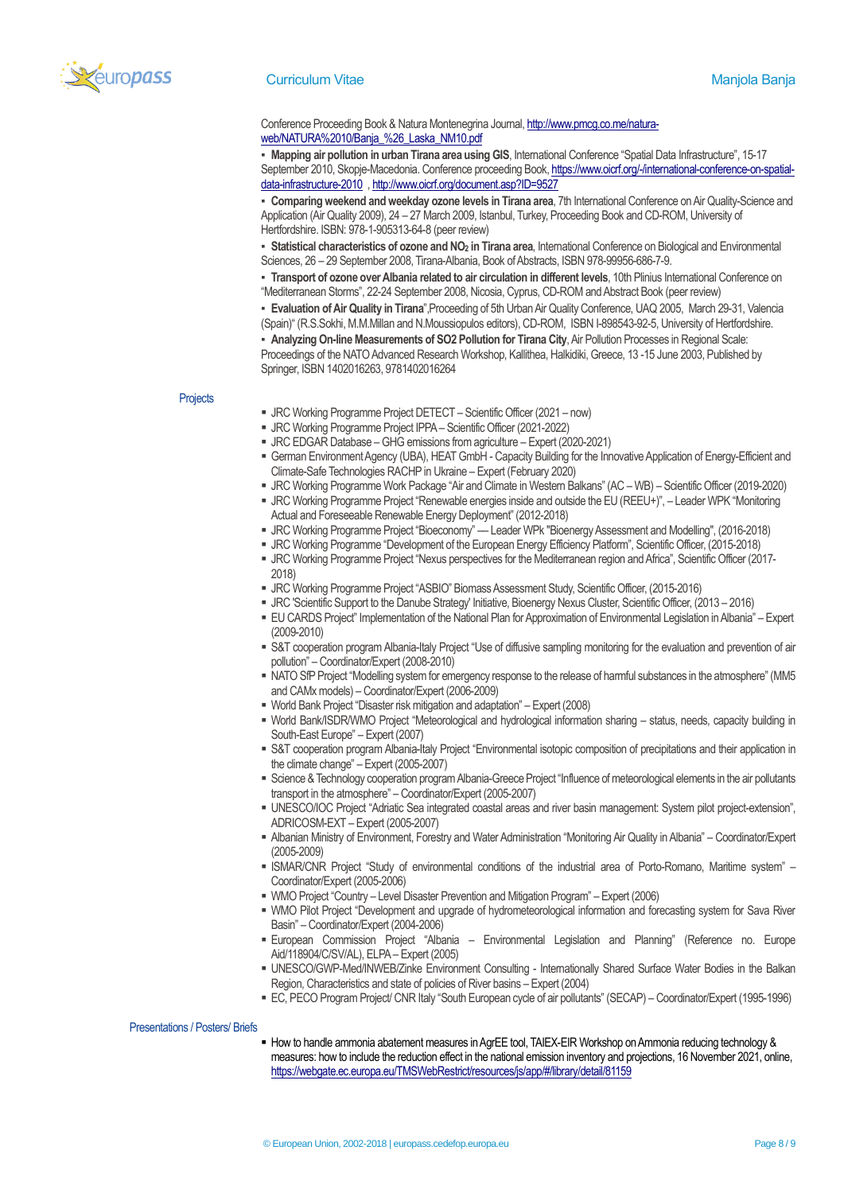

### **Curriculum Vitae Manjola Banja Banja Banja Banja Banja Banja Banja Banja Banja Banja Banja Banja Banja Banja B**

## Conference Proceeding Book & Natura Montenegrina Journal[, http://www.pmcg.co.me/natura](http://www.pmcg.co.me/natura-web/NATURA%2010/Banja_%26_Laska_NM10.pdf)[web/NATURA%2010/Banja\\_%26\\_Laska\\_NM10.pdf](http://www.pmcg.co.me/natura-web/NATURA%2010/Banja_%26_Laska_NM10.pdf)

▪ **Mapping air pollution in urban Tirana area using GIS**, International Conference "Spatial Data Infrastructure", 15-17 September 2010, Skopje-Macedonia. Conference proceeding Book, [https://www.oicrf.org/-/international-conference-on-spatial](https://www.oicrf.org/-/international-conference-on-spatial-data-infrastructure-2010)[data-infrastructure-2010](https://www.oicrf.org/-/international-conference-on-spatial-data-infrastructure-2010) , <http://www.oicrf.org/document.asp?ID=9527>

▪ **Comparing weekend and weekday ozone levels in Tirana area**, 7th International Conference on Air Quality-Science and Application (Air Quality 2009), 24 – 27 March 2009, Istanbul, Turkey, Proceeding Book and CD-ROM, University of Hertfordshire. ISBN: 978-1-905313-64-8 (peer review)

▪ **Statistical characteristics of ozone and NO<sup>2</sup> in Tirana area**, International Conference on Biological and Environmental Sciences, 26 – 29 September 2008, Tirana-Albania, Book of Abstracts, ISBN 978-99956-686-7-9.

▪ **Transport of ozone over Albania related to air circulation in different levels**, 10th Plinius International Conference on "Mediterranean Storms", 22-24 September 2008, Nicosia, Cyprus, CD-ROM and Abstract Book (peer review)

▪ **Evaluation of Air Quality in Tirana**",Proceeding of 5th Urban Air Quality Conference, UAQ 2005, March 29-31, Valencia (Spain)" (R.S.Sokhi, M.M.Millan and N.Moussiopulos editors), CD-ROM, ISBN I-898543-92-5, University of Hertfordshire.

▪ **Analyzing On-line Measurements of SO2 Pollution for Tirana City**, Air Pollution Processes in Regional Scale: Proceedings of the NATO Advanced Research Workshop, Kallithea, Halkidiki, Greece, 13 -15 June 2003, Published by Springer, ISBN 1402016263, 9781402016264

**Projects** 

- JRC Working Programme Project DETECT Scientific Officer (2021 now)
- JRC Working Programme Project IPPA Scientific Officer (2021-2022)
- JRC EDGAR Database –GHG emissions from agriculture Expert (2020-2021)
- German Environment Agency (UBA), HEAT GmbH Capacity Building for the Innovative Application of Energy-Efficient and Climate-Safe Technologies RACHP in Ukraine – Expert (February 2020)
- JRC Working Programme Work Package "Air and Climate in Western Balkans" (AC WB) Scientific Officer (2019-2020)
- JRC Working Programme Project "Renewable energies inside and outside the EU (REEU+)", Leader WPK "Monitoring Actual and Foreseeable Renewable Energy Deployment" (2012-2018)
- JRC Working Programme Project "Bioeconomy" –– Leader WPk "Bioenergy Assessment and Modelling", (2016-2018)
- JRC Working Programme "Development of the European Energy Efficiency Platform", Scientific Officer, (2015-2018)
- JRC Working Programme Project "Nexus perspectives for the Mediterranean region and Africa", Scientific Officer (2017- 2018)
- JRC Working Programme Project "ASBIO" Biomass Assessment Study, Scientific Officer, (2015-2016)
- JRC 'Scientific Support to the Danube Strategy' Initiative, Bioenergy Nexus Cluster, Scientific Officer, (2013 2016)
- EU CARDS Project" Implementation of the National Plan for Approximation of Environmental Legislation in Albania" Expert (2009-2010)
- S&T cooperation program Albania-Italy Project "Use of diffusive sampling monitoring for the evaluation and prevention of air pollution" – Coordinator/Expert (2008-2010)
- NATO SfP Project "Modelling system for emergency response to the release of harmful substances in the atmosphere" (MM5 and CAMx models) – Coordinator/Expert (2006-2009)
- World Bank Project "Disaster risk mitigation and adaptation" Expert (2008)
- World Bank/ISDR/WMO Project "Meteorological and hydrological information sharing status, needs, capacity building in South-East Europe" – Expert (2007)
- S&T cooperation program Albania-Italy Project "Environmental isotopic composition of precipitations and their application in the climate change" – Expert (2005-2007)
- Science & Technology cooperation program Albania-Greece Project "Influence of meteorological elements in the air pollutants transport in the atmosphere" – Coordinator/Expert (2005-2007)
- UNESCO/IOC Project "Adriatic Sea integrated coastal areas and river basin management: System pilot project-extension", ADRICOSM-EXT – Expert (2005-2007)
- Albanian Ministry of Environment, Forestry and Water Administration "Monitoring Air Quality in Albania" Coordinator/Expert (2005-2009)
- ISMAR/CNR Project "Study of environmental conditions of the industrial area of Porto-Romano, Maritime system" Coordinator/Expert (2005-2006)
- **WMO Project "Country Level Disaster Prevention and Mitigation Program" Expert (2006)**
- WMO Pilot Project "Development and upgrade of hydrometeorological information and forecasting system for Sava River Basin" – Coordinator/Expert (2004-2006)
- European Commission Project "Albania Environmental Legislation and Planning" (Reference no. Europe Aid/118904/C/SV/AL), ELPA – Expert (2005)
- **· UNESCO/GWP-Med/INWEB/Zinke Environment Consulting Internationally Shared Surface Water Bodies in the Balkan** Region, Characteristics and state of policies of River basins – Expert (2004)
- EC, PECO Program Project/ CNR Italy "South European cycle of air pollutants" (SECAP) Coordinator/Expert (1995-1996)

Presentations / Posters/ Briefs

**• How to handle ammonia abatement measures in AgrEE tool, TAIEX-EIR Workshop on Ammonia reducing technology &** measures: how to include the reduction effect in the national emission inventory and projections, 16 November 2021, online, <https://webgate.ec.europa.eu/TMSWebRestrict/resources/js/app/#/library/detail/81159>